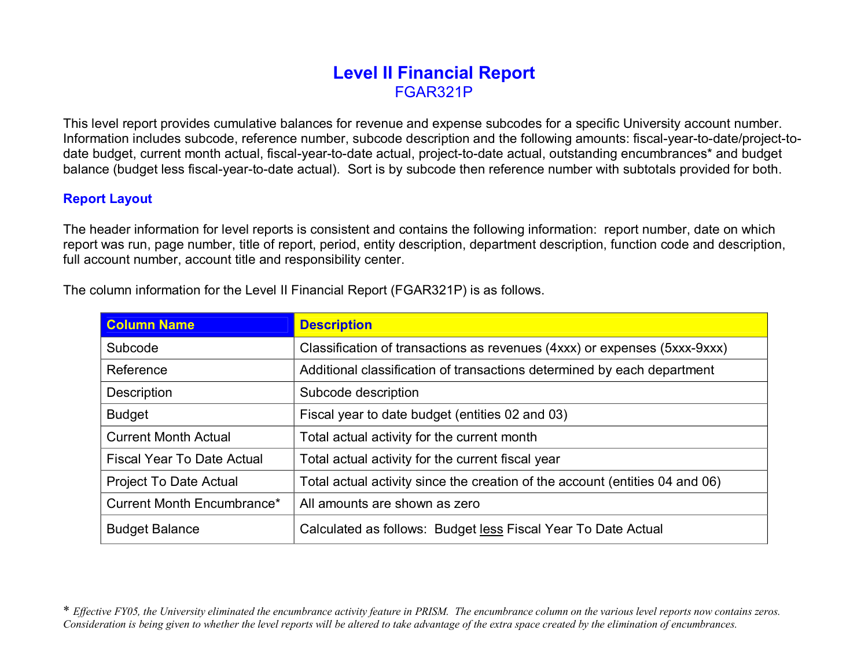## **Level II Financial Report** FGAR321P

This level report provides cumulative balances for revenue and expense subcodes for a specific University account number. Information includes subcode, reference number, subcode description and the following amounts: fiscal-year-to-date/project-todate budget, current month actual, fiscal-year-to-date actual, project-to-date actual, outstanding encumbrances\* and budget balance (budget less fiscal-year-to-date actual). Sort is by subcode then reference number with subtotals provided for both.

## **Report Layout**

The header information for level reports is consistent and contains the following information: report number, date on which report was run, page number, title of report, period, entity description, department description, function code and description, full account number, account title and responsibility center.

| <b>Column Name</b>                | <b>Description</b>                                                           |  |  |  |
|-----------------------------------|------------------------------------------------------------------------------|--|--|--|
| Subcode                           | Classification of transactions as revenues (4xxx) or expenses (5xxx-9xxx)    |  |  |  |
| Reference                         | Additional classification of transactions determined by each department      |  |  |  |
| Description                       | Subcode description                                                          |  |  |  |
| <b>Budget</b>                     | Fiscal year to date budget (entities 02 and 03)                              |  |  |  |
| <b>Current Month Actual</b>       | Total actual activity for the current month                                  |  |  |  |
| <b>Fiscal Year To Date Actual</b> | Total actual activity for the current fiscal year                            |  |  |  |
| <b>Project To Date Actual</b>     | Total actual activity since the creation of the account (entities 04 and 06) |  |  |  |
| Current Month Encumbrance*        | All amounts are shown as zero                                                |  |  |  |
| <b>Budget Balance</b>             | Calculated as follows: Budget less Fiscal Year To Date Actual                |  |  |  |

The column information for the Level II Financial Report (FGAR321P) is as follows.

\* Effective FY05, the University eliminated the encumbrance activity feature in PRISM. The encumbrance column on the various level reports now contains zeros. Consideration is being given to whether the level reports will be altered to take advantage of the extra space created by the elimination of encumbrances.